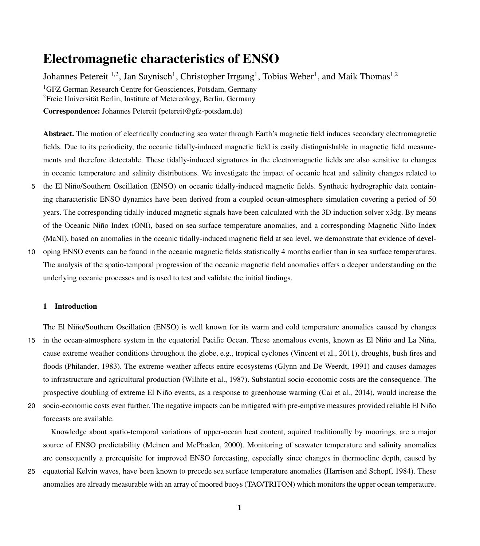# Electromagnetic characteristics of ENSO

Johannes Petereit <sup>1,2</sup>, Jan Saynisch<sup>1</sup>, Christopher Irrgang<sup>1</sup>, Tobias Weber<sup>1</sup>, and Maik Thomas<sup>1,2</sup> <sup>1</sup>GFZ German Research Centre for Geosciences, Potsdam, Germany <sup>2</sup>Freie Universität Berlin, Institute of Metereology, Berlin, Germany

Correspondence: Johannes Petereit (petereit@gfz-potsdam.de)

Abstract. The motion of electrically conducting sea water through Earth's magnetic field induces secondary electromagnetic fields. Due to its periodicity, the oceanic tidally-induced magnetic field is easily distinguishable in magnetic field measurements and therefore detectable. These tidally-induced signatures in the electromagnetic fields are also sensitive to changes in oceanic temperature and salinity distributions. We investigate the impact of oceanic heat and salinity changes related to

- 5 the El Niño/Southern Oscillation (ENSO) on oceanic tidally-induced magnetic fields. Synthetic hydrographic data containing characteristic ENSO dynamics have been derived from a coupled ocean-atmosphere simulation covering a period of 50 years. The corresponding tidally-induced magnetic signals have been calculated with the 3D induction solver x3dg. By means of the Oceanic Niño Index (ONI), based on sea surface temperature anomalies, and a corresponding Magnetic Niño Index (MaNI), based on anomalies in the oceanic tidally-induced magnetic field at sea level, we demonstrate that evidence of devel-
- 10 oping ENSO events can be found in the oceanic magnetic fields statistically 4 months earlier than in sea surface temperatures. The analysis of the spatio-temporal progression of the oceanic magnetic field anomalies offers a deeper understanding on the underlying oceanic processes and is used to test and validate the initial findings.

## 1 Introduction

The El Niño/Southern Oscillation (ENSO) is well known for its warm and cold temperature anomalies caused by changes 15 in the ocean-atmosphere system in the equatorial Pacific Ocean. These anomalous events, known as El Niño and La Niña, cause extreme weather conditions throughout the globe, e.g., tropical cyclones [\(Vincent et al., 2011\)](#page-13-0), droughts, bush fires and floods [\(Philander, 1983\)](#page-12-0). The extreme weather affects entire ecosystems [\(Glynn and De Weerdt, 1991\)](#page-11-0) and causes damages to infrastructure and agricultural production [\(Wilhite et al., 1987\)](#page-13-1). Substantial socio-economic costs are the consequence. The prospective doubling of extreme El Niño events, as a response to greenhouse warming [\(Cai et al., 2014\)](#page-11-1), would increase the

20 socio-economic costs even further. The negative impacts can be mitigated with pre-emptive measures provided reliable El Niño forecasts are available.

Knowledge about spatio-temporal variations of upper-ocean heat content, aquired traditionally by moorings, are a major source of ENSO predictability [\(Meinen and McPhaden, 2000\)](#page-12-1). Monitoring of seawater temperature and salinity anomalies are consequently a prerequisite for improved ENSO forecasting, especially since changes in thermocline depth, caused by

25 equatorial Kelvin waves, have been known to precede sea surface temperature anomalies [\(Harrison and Schopf, 1984\)](#page-11-2). These anomalies are already measurable with an array of moored buoys (TAO/TRITON) which monitors the upper ocean temperature.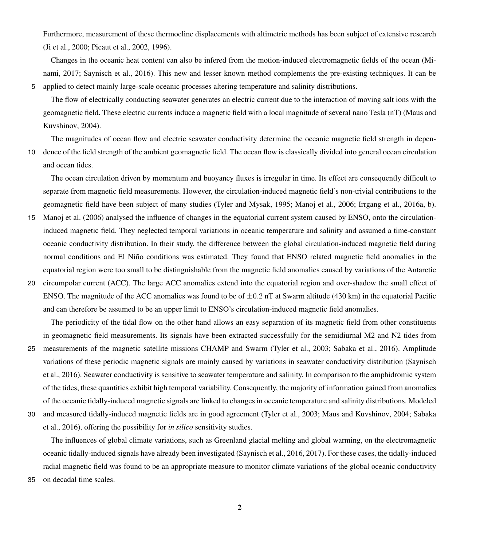Furthermore, measurement of these thermocline displacements with altimetric methods has been subject of extensive research [\(Ji et al., 2000;](#page-12-2) [Picaut et al., 2002,](#page-12-3) [1996\)](#page-12-4).

Changes in the oceanic heat content can also be infered from the motion-induced electromagnetic fields of the ocean [\(Mi](#page-12-5)[nami, 2017;](#page-12-5) [Saynisch et al., 2016\)](#page-12-6). This new and lesser known method complements the pre-existing techniques. It can be 5 applied to detect mainly large-scale oceanic processes altering temperature and salinity distributions.

The flow of electrically conducting seawater generates an electric current due to the interaction of moving salt ions with the [g](#page-12-7)eomagnetic field. These electric currents induce a magnetic field with a local magnitude of several nano Tesla (nT) [\(Maus and](#page-12-7) [Kuvshinov, 2004\)](#page-12-7).

The magnitudes of ocean flow and electric seawater conductivity determine the oceanic magnetic field strength in depen-

10 dence of the field strength of the ambient geomagnetic field. The ocean flow is classically divided into general ocean circulation

and ocean tides.

The ocean circulation driven by momentum and buoyancy fluxes is irregular in time. Its effect are consequently difficult to separate from magnetic field measurements. However, the circulation-induced magnetic field's non-trivial contributions to the geomagnetic field have been subject of many studies [\(Tyler and Mysak, 1995;](#page-13-2) [Manoj et al., 2006;](#page-12-8) [Irrgang et al., 2016a,](#page-11-3) [b\)](#page-11-4).

- 15 [Manoj et al.](#page-12-8) [\(2006\)](#page-12-8) analysed the influence of changes in the equatorial current system caused by ENSO, onto the circulationinduced magnetic field. They neglected temporal variations in oceanic temperature and salinity and assumed a time-constant oceanic conductivity distribution. In their study, the difference between the global circulation-induced magnetic field during normal conditions and El Niño conditions was estimated. They found that ENSO related magnetic field anomalies in the equatorial region were too small to be distinguishable from the magnetic field anomalies caused by variations of the Antarctic
- 20 circumpolar current (ACC). The large ACC anomalies extend into the equatorial region and over-shadow the small effect of ENSO. The magnitude of the ACC anomalies was found to be of  $\pm 0.2$  nT at Swarm altitude (430 km) in the equatorial Pacific and can therefore be assumed to be an upper limit to ENSO's circulation-induced magnetic field anomalies.

The periodicity of the tidal flow on the other hand allows an easy separation of its magnetic field from other constituents in geomagnetic field measurements. Its signals have been extracted successfully for the semidiurnal M2 and N2 tides from

25 measurements of the magnetic satellite missions CHAMP and Swarm [\(Tyler et al., 2003;](#page-13-3) [Sabaka et al., 2016\)](#page-12-9). Amplitude

[v](#page-12-6)ariations of these periodic magnetic signals are mainly caused by variations in seawater conductivity distribution [\(Saynisch](#page-12-6) [et al., 2016\)](#page-12-6). Seawater conductivity is sensitive to seawater temperature and salinity. In comparison to the amphidromic system of the tides, these quantities exhibit high temporal variability. Consequently, the majority of information gained from anomalies of the oceanic tidally-induced magnetic signals are linked to changes in oceanic temperature and salinity distributions. Modeled

30 [a](#page-12-9)nd measured tidally-induced magnetic fields are in good agreement [\(Tyler et al., 2003;](#page-13-3) [Maus and Kuvshinov, 2004;](#page-12-7) [Sabaka](#page-12-9)

[et al., 2016\)](#page-12-9), offering the possibility for *in silico* sensitivity studies.

The influences of global climate variations, such as Greenland glacial melting and global warming, on the electromagnetic oceanic tidally-induced signals have already been investigated [\(Saynisch et al., 2016,](#page-12-6) [2017\)](#page-13-4). For these cases, the tidally-induced radial magnetic field was found to be an appropriate measure to monitor climate variations of the global oceanic conductivity

35 on decadal time scales.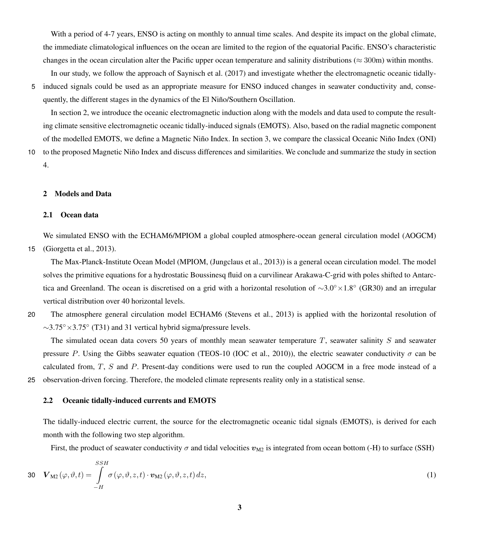With a period of 4-7 years, ENSO is acting on monthly to annual time scales. And despite its impact on the global climate, the immediate climatological influences on the ocean are limited to the region of the equatorial Pacific. ENSO's characteristic changes in the ocean circulation alter the Pacific upper ocean temperature and salinity distributions ( $\approx 300$ m) within months.

In our study, we follow the approach of [Saynisch et al.](#page-13-4) [\(2017\)](#page-13-4) and investigate whether the electromagnetic oceanic tidally-5 induced signals could be used as an appropriate measure for ENSO induced changes in seawater conductivity and, consequently, the different stages in the dynamics of the El Niño/Southern Oscillation.

In section 2, we introduce the oceanic electromagnetic induction along with the models and data used to compute the resulting climate sensitive electromagnetic oceanic tidally-induced signals (EMOTS). Also, based on the radial magnetic component of the modelled EMOTS, we define a Magnetic Niño Index. In section 3, we compare the classical Oceanic Niño Index (ONI)

10 to the proposed Magnetic Niño Index and discuss differences and similarities. We conclude and summarize the study in section 4.

#### <span id="page-2-2"></span>2 Models and Data

## 2.1 Ocean data

We simulated ENSO with the ECHAM6/MPIOM a global coupled atmosphere-ocean general circulation model (AOGCM) 15 [\(Giorgetta et al., 2013\)](#page-11-5).

The Max-Planck-Institute Ocean Model (MPIOM, [\(Jungclaus et al., 2013\)](#page-12-10)) is a general ocean circulation model. The model solves the primitive equations for a hydrostatic Boussinesq fluid on a curvilinear Arakawa-C-grid with poles shifted to Antarctica and Greenland. The ocean is discretised on a grid with a horizontal resolution of ~3.0° × 1.8° (GR30) and an irregular vertical distribution over 40 horizontal levels.

20 The atmosphere general circulation model ECHAM6 [\(Stevens et al., 2013\)](#page-13-5) is applied with the horizontal resolution of  $\sim$ 3.75° × 3.75° (T31) and 31 vertical hybrid sigma/pressure levels.

The simulated ocean data covers 50 years of monthly mean seawater temperature  $T$ , seawater salinity  $S$  and seawater pressure P. Using the Gibbs seawater equation (TEOS-10 [\(IOC et al., 2010\)](#page-11-6)), the electric seawater conductivity σ can be calculated from, T, S and P. Present-day conditions were used to run the coupled AOGCM in a free mode instead of a 25 observation-driven forcing. Therefore, the modeled climate represents reality only in a statistical sense.

#### <span id="page-2-0"></span>2.2 Oceanic tidally-induced currents and EMOTS

The tidally-induced electric current, the source for the electromagnetic oceanic tidal signals (EMOTS), is derived for each month with the following two step algorithm.

<span id="page-2-1"></span>First, the product of seawater conductivity  $\sigma$  and tidal velocities  $v_{M2}$  is integrated from ocean bottom (-H) to surface (SSH)

$$
30 \quad \boldsymbol{V}_{\text{M2}}(\varphi,\vartheta,t) = \int\limits_{-H}^{SSH} \sigma(\varphi,\vartheta,z,t) \cdot \boldsymbol{v}_{\text{M2}}(\varphi,\vartheta,z,t) \, dz,\tag{1}
$$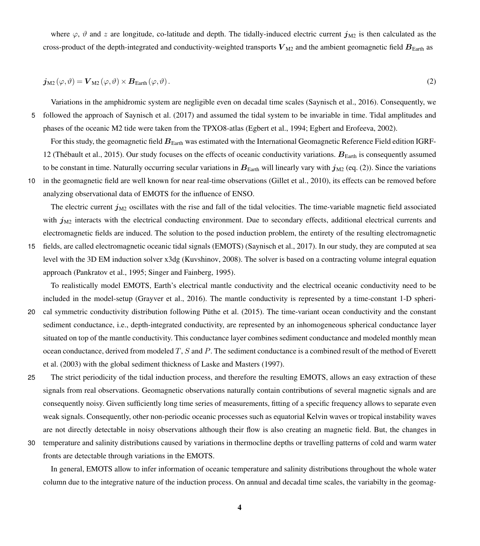<span id="page-3-0"></span>where  $\varphi$ ,  $\vartheta$  and z are longitude, co-latitude and depth. The tidally-induced electric current  $j_{M2}$  is then calculated as the cross-product of the depth-integrated and conductivity-weighted transports  $V_{\rm M2}$  and the ambient geomagnetic field  $B_{\rm Earth}$  as

$$
\mathbf{j}_{\mathrm{M2}}(\varphi,\vartheta) = \mathbf{V}_{\mathrm{M2}}(\varphi,\vartheta) \times \mathbf{B}_{\mathrm{Earth}}(\varphi,\vartheta). \tag{2}
$$

Variations in the amphidromic system are negligible even on decadal time scales [\(Saynisch et al., 2016\)](#page-12-6). Consequently, we 5 followed the approach of [Saynisch et al.](#page-13-4) [\(2017\)](#page-13-4) and assumed the tidal system to be invariable in time. Tidal amplitudes and phases of the oceanic M2 tide were taken from the TPXO8-atlas [\(Egbert et al., 1994;](#page-11-7) [Egbert and Erofeeva, 2002\)](#page-11-8).

For this study, the geomagnetic field  $B<sub>Earth</sub>$  was estimated with the International Geomagnetic Reference Field edition IGRF-12 [\(Thébault et al., 2015\)](#page-13-6). Our study focuses on the effects of oceanic conductivity variations.  $B_{\text{Earth}}$  is consequently assumed to be constant in time. Naturally occurring secular variations in  $B<sub>Earth</sub>$  will linearly vary with  $j<sub>M2</sub>$  (eq. [\(2\)](#page-3-0)). Since the variations 10 in the geomagnetic field are well known for near real-time observations [\(Gillet et al., 2010\)](#page-11-9), its effects can be removed before

analyzing observational data of EMOTS for the influence of ENSO.

The electric current  $j_{M2}$  oscillates with the rise and fall of the tidal velocities. The time-variable magnetic field associated with  $j_{M2}$  interacts with the electrical conducting environment. Due to secondary effects, additional electrical currents and electromagnetic fields are induced. The solution to the posed induction problem, the entirety of the resulting electromagnetic

15 fields, are called electromagnetic oceanic tidal signals (EMOTS) [\(Saynisch et al., 2017\)](#page-13-4). In our study, they are computed at sea level with the 3D EM induction solver x3dg [\(Kuvshinov, 2008\)](#page-12-11). The solver is based on a contracting volume integral equation approach [\(Pankratov et al., 1995;](#page-12-12) [Singer and Fainberg, 1995\)](#page-13-7).

To realistically model EMOTS, Earth's electrical mantle conductivity and the electrical oceanic conductivity need to be included in the model-setup [\(Grayver et al., 2016\)](#page-11-10). The mantle conductivity is represented by a time-constant 1-D spheri-

- 20 cal symmetric conductivity distribution following [Püthe et al.](#page-12-13) [\(2015\)](#page-12-13). The time-variant ocean conductivity and the constant sediment conductance, i.e., depth-integrated conductivity, are represented by an inhomogeneous spherical conductance layer situated on top of the mantle conductivity. This conductance layer combines sediment conductance and modeled monthly mean [o](#page-11-11)cean conductance, derived from modeled  $T$ , S and P. The sediment conductance is a combined result of the method of [Everett](#page-11-11) [et al.](#page-11-11) [\(2003\)](#page-11-11) with the global sediment thickness of [Laske and Masters](#page-12-14) [\(1997\)](#page-12-14).
- 25 The strict periodicity of the tidal induction process, and therefore the resulting EMOTS, allows an easy extraction of these signals from real observations. Geomagnetic observations naturally contain contributions of several magnetic signals and are consequently noisy. Given sufficiently long time series of measurements, fitting of a specific frequency allows to separate even weak signals. Consequently, other non-periodic oceanic processes such as equatorial Kelvin waves or tropical instability waves are not directly detectable in noisy observations although their flow is also creating an magnetic field. But, the changes in
- 30 temperature and salinity distributions caused by variations in thermocline depths or travelling patterns of cold and warm water fronts are detectable through variations in the EMOTS.

In general, EMOTS allow to infer information of oceanic temperature and salinity distributions throughout the whole water column due to the integrative nature of the induction process. On annual and decadal time scales, the variabilty in the geomag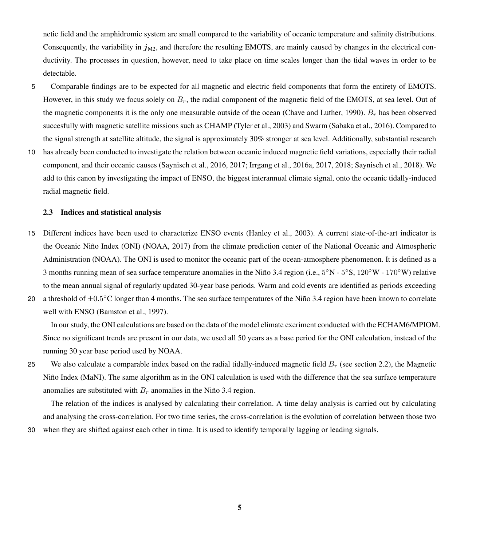netic field and the amphidromic system are small compared to the variability of oceanic temperature and salinity distributions. Consequently, the variability in  $j_{M2}$ , and therefore the resulting EMOTS, are mainly caused by changes in the electrical conductivity. The processes in question, however, need to take place on time scales longer than the tidal waves in order to be detectable.

- 5 Comparable findings are to be expected for all magnetic and electric field components that form the entirety of EMOTS. However, in this study we focus solely on  $B_r$ , the radial component of the magnetic field of the EMOTS, at sea level. Out of the magnetic components it is the only one measurable outside of the ocean [\(Chave and Luther, 1990\)](#page-11-12).  $B_r$  has been observed succesfully with magnetic satellite missions such as CHAMP [\(Tyler et al., 2003\)](#page-13-3) and Swarm [\(Sabaka et al., 2016\)](#page-12-9). Compared to the signal strength at satellite altitude, the signal is approximately 30% stronger at sea level. Additionally, substantial research
- 10 has already been conducted to investigate the relation between oceanic induced magnetic field variations, especially their radial component, and their oceanic causes [\(Saynisch et al., 2016,](#page-12-6) [2017;](#page-13-4) [Irrgang et al., 2016a,](#page-11-3) [2017,](#page-11-13) [2018;](#page-12-15) [Saynisch et al., 2018\)](#page-13-8). We add to this canon by investigating the impact of ENSO, the biggest interannual climate signal, onto the oceanic tidally-induced radial magnetic field.

## <span id="page-4-0"></span>2.3 Indices and statistical analysis

- 15 Different indices have been used to characterize ENSO events [\(Hanley et al., 2003\)](#page-11-14). A current state-of-the-art indicator is the Oceanic Niño Index (ONI) [\(NOAA, 2017\)](#page-12-16) from the climate prediction center of the National Oceanic and Atmospheric Administration (NOAA). The ONI is used to monitor the oceanic part of the ocean-atmosphere phenomenon. It is defined as a 3 months running mean of sea surface temperature anomalies in the Niño 3.4 region (i.e., 5°N - 5°S, 120°W - 170°W) relative to the mean annual signal of regularly updated 30-year base periods. Warm and cold events are identified as periods exceeding
- 20 a threshold of  $\pm 0.5^{\circ}$ C longer than 4 months. The sea surface temperatures of the Niño 3.4 region have been known to correlate well with ENSO [\(Bamston et al., 1997\)](#page-11-15).

In our study, the ONI calculations are based on the data of the model climate exeriment conducted with the ECHAM6/MPIOM. Since no significant trends are present in our data, we used all 50 years as a base period for the ONI calculation, instead of the running 30 year base period used by NOAA.

25 We also calculate a comparable index based on the radial tidally-induced magnetic field  $B_r$  (see section [2.2\)](#page-2-0), the Magnetic Niño Index (MaNI). The same algorithm as in the ONI calculation is used with the difference that the sea surface temperature anomalies are substituted with  $B_r$  anomalies in the Niño 3.4 region.

The relation of the indices is analysed by calculating their correlation. A time delay analysis is carried out by calculating and analysing the cross-correlation. For two time series, the cross-correlation is the evolution of correlation between those two

30 when they are shifted against each other in time. It is used to identify temporally lagging or leading signals.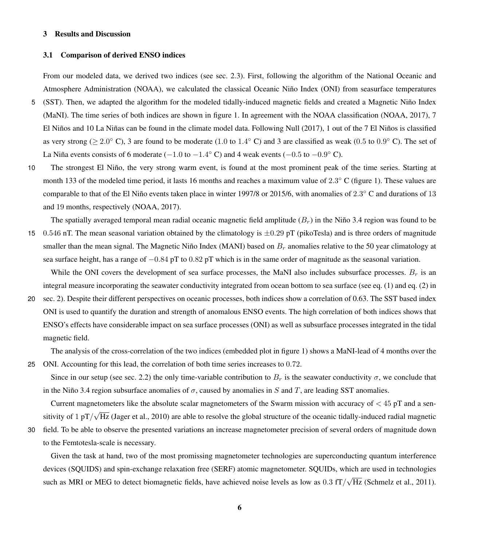#### 3 Results and Discussion

#### <span id="page-5-0"></span>3.1 Comparison of derived ENSO indices

From our modeled data, we derived two indices (see sec. [2.3\)](#page-4-0). First, following the algorithm of the National Oceanic and Atmosphere Administration (NOAA), we calculated the classical Oceanic Niño Index (ONI) from seasurface temperatures

- 5 (SST). Then, we adapted the algorithm for the modeled tidally-induced magnetic fields and created a Magnetic Niño Index (MaNI). The time series of both indices are shown in figure [1.](#page-14-0) In agreement with the NOAA classification [\(NOAA, 2017\)](#page-12-16), 7 El Niños and 10 La Niñas can be found in the climate model data. Following [Null](#page-12-17) [\(2017\)](#page-12-17), 1 out of the 7 El Niños is classified as very strong ( $\geq 2.0^{\circ}$  C), 3 are found to be moderate (1.0 to 1.4°C) and 3 are classified as weak (0.5 to 0.9°C). The set of La Niña events consists of 6 moderate ( $-1.0$  to  $-1.4^{\circ}$  C) and 4 weak events ( $-0.5$  to  $-0.9^{\circ}$  C).
- 10 The strongest El Niño, the very strong warm event, is found at the most prominent peak of the time series. Starting at month 133 of the modeled time period, it lasts 16 months and reaches a maximum value of  $2.3^{\circ}$  C (figure [1\)](#page-14-0). These values are comparable to that of the El Niño events taken place in winter 1997/8 or 2015/6, with anomalies of 2.3° C and durations of 13 and 19 months, respectively [\(NOAA, 2017\)](#page-12-16).

The spatially averaged temporal mean radial oceanic magnetic field amplitude  $(B<sub>r</sub>)$  in the Niño 3.4 region was found to be

15 0.546 nT. The mean seasonal variation obtained by the climatology is  $\pm 0.29$  pT (pikoTesla) and is three orders of magnitude smaller than the mean signal. The Magnetic Niño Index (MANI) based on  $B_r$  anomalies relative to the 50 year climatology at sea surface height, has a range of −0.84 pT to 0.82 pT which is in the same order of magnitude as the seasonal variation.

While the ONI covers the development of sea surface processes, the MaNI also includes subsurface processes.  $B_r$  is an integral measure incorporating the seawater conductivity integrated from ocean bottom to sea surface (see eq. [\(1\)](#page-2-1) and eq. [\(2\)](#page-3-0) in

20 sec. [2\)](#page-2-2). Despite their different perspectives on oceanic processes, both indices show a correlation of 0.63. The SST based index ONI is used to quantify the duration and strength of anomalous ENSO events. The high correlation of both indices shows that ENSO's effects have considerable impact on sea surface processes (ONI) as well as subsurface processes integrated in the tidal magnetic field.

The analysis of the cross-correlation of the two indices (embedded plot in figure [1\)](#page-14-0) shows a MaNI-lead of 4 months over the 25 ONI. Accounting for this lead, the correlation of both time series increases to 0.72.

Since in our setup (see sec. [2.2\)](#page-2-0) the only time-variable contribution to  $B_r$  is the seawater conductivity  $\sigma$ , we conclude that in the Niño 3.4 region subsurface anomalies of  $\sigma$ , caused by anomalies in S and T, are leading SST anomalies.

Current magnetometers like the absolute scalar magnetometers of the Swarm mission with accuracy of  $\lt 45$  pT and a sensitivity of 1 pT/ √ Hz [\(Jager et al., 2010\)](#page-12-18) are able to resolve the global structure of the oceanic tidally-induced radial magnetic

30 field. To be able to observe the presented variations an increase magnetometer precision of several orders of magnitude down to the Femtotesla-scale is necessary.

Given the task at hand, two of the most promissing magnetometer technologies are superconducting quantum interference devices (SQUIDS) and spin-exchange relaxation free (SERF) atomic magnetometer. SQUIDs, which are used in technologies such as MRI or MEG to detect biomagnetic fields, have achieved noise levels as low as  $0.3 \text{ fT}$ √ Hz [\(Schmelz et al., 2011\)](#page-13-9).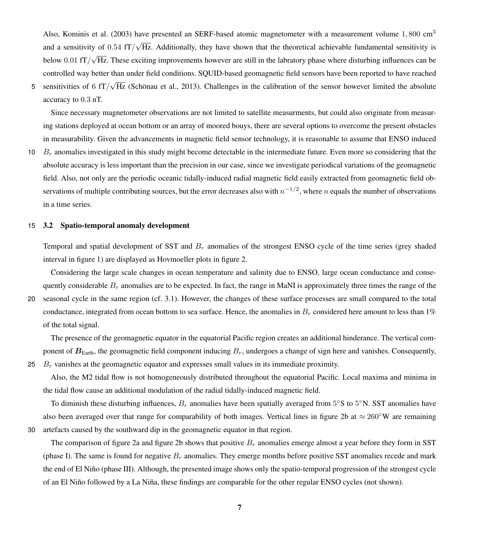Also, [Kominis et al.](#page-12-19) [\(2003\)](#page-12-19) have presented an SERF-based atomic magnetometer with a measurement volume 1,800 cm<sup>3</sup> and a sensitivity of  $0.54 \text{ fT}$ / √ Hz. Additionally, they have shown that the theoretical achievable fundamental sensitivity is below  $0.01$  fT $/$ √ Hz. These exciting improvements however are still in the labratory phase where disturbing influences can be controlled way better than under field conditions. SQUID-based geomagnetic field sensors have been reported to have reached

sensitivities of 6 fT/ √ 5 sensitivities of 6 fT $/\sqrt{Hz}$  [\(Schönau et al., 2013\)](#page-13-10). Challenges in the calibration of the sensor however limited the absolute accuracy to 0.3 nT.

Since necessary magnetometer observations are not limited to satellite measurments, but could also originate from measuring stations deployed at ocean bottom or an array of moored bouys, there are several options to overcome the present obstacles in measurability. Given the advancements in magnetic field sensor technology, it is reasonable to assume that ENSO induced

10  $B_r$  anomalies investigated in this study might become detectable in the intermediate future. Even more so considering that the absolute accuracy is less important than the precision in our case, since we investigate periodical variations of the geomagnetic field. Also, not only are the periodic oceanic tidally-induced radial magnetic field easily extracted from geomagnetic field observations of multiple contributing sources, but the error decreases also with  $n^{-1/2}$ , where n equals the number of observations in a time series.

## <span id="page-6-0"></span>15 3.2 Spatio-temporal anomaly development

Temporal and spatial development of SST and  $B_r$  anomalies of the strongest ENSO cycle of the time series (grey shaded interval in figure [1\)](#page-14-0) are displayed as Hovmoeller plots in figure [2.](#page-15-0)

Considering the large scale changes in ocean temperature and salinity due to ENSO, large ocean conductance and consequently considerable  $B_r$  anomalies are to be expected. In fact, the range in MaNI is approximately three times the range of the 20 seasonal cycle in the same region (cf. [3.1\)](#page-5-0). However, the changes of these surface processes are small compared to the total conductance, integrated from ocean bottom to sea surface. Hence, the anomalies in  $B_r$  considered here amount to less than 1%

of the total signal.

The presence of the geomagnetic equator in the equatorial Pacific region creates an additional hinderance. The vertical component of  $B<sub>Earth</sub>$ , the geomagnetic field component inducing  $B<sub>r</sub>$ , undergoes a change of sign here and vanishes. Consequently,  $25$  B<sub>r</sub> vanishes at the geomagnetic equator and expresses small values in its immediate proximity.

Also, the M2 tidal flow is not homogeneously distributed throughout the equatorial Pacific. Local maxima and minima in the tidal flow cause an additional modulation of the radial tidally-induced magnetic field.

To diminish these disturbing influences,  $B_r$  anomalies have been spatially averaged from  $5^{\circ}S$  to  $5^{\circ}N$ . SST anomalies have also been averaged over that range for comparability of both images. Vertical lines in figure [2b](#page-15-0) at  $\approx 260°W$  are remaining 30 artefacts caused by the southward dip in the geomagnetic equator in that region.

The comparison of figure [2a](#page-15-0) and figure [2b](#page-15-0) shows that positive  $B_r$  anomalies emerge almost a year before they form in SST (phase I). The same is found for negative  $B_r$  anomalies. They emerge months before positive SST anomalies recede and mark the end of El Niño (phase III). Although, the presented image shows only the spatio-temporal progression of the strongest cycle of an El Niño followed by a La Niña, these findings are comparable for the other regular ENSO cycles (not shown).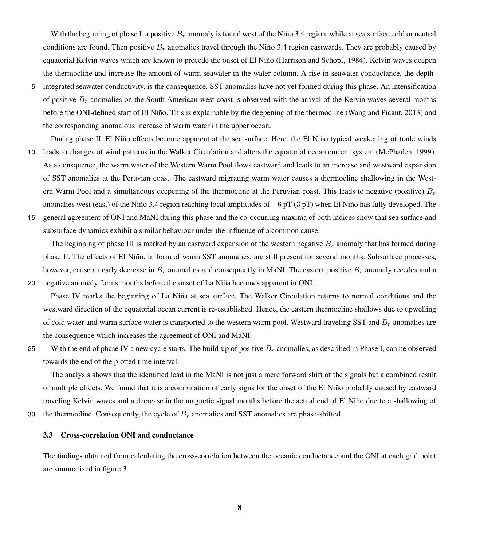With the beginning of phase I, a positive  $B_r$  anomaly is found west of the Niño 3.4 region, while at sea surface cold or neutral conditions are found. Then positive  $B_r$  anomalies travel through the Niño 3.4 region eastwards. They are probably caused by equatorial Kelvin waves which are known to precede the onset of El Niño [\(Harrison and Schopf, 1984\)](#page-11-2). Kelvin waves deepen the thermocline and increase the amount of warm seawater in the water column. A rise in seawater conductance, the depth-

5 integrated seawater conductivity, is the consequence. SST anomalies have not yet formed during this phase. An intensification of positive  $B_r$  anomalies on the South American west coast is observed with the arrival of the Kelvin waves several months before the ONI-defined start of El Niño. This is explainable by the deepening of the thermocline [\(Wang and Picaut, 2013\)](#page-13-11) and the corresponding anomalous increase of warm water in the upper ocean.

During phase II, El Niño effects become apparent at the sea surface. Here, the El Niño typical weakening of trade winds

- 10 leads to changes of wind patterns in the Walker Circulation and alters the equatorial ocean current system [\(McPhaden, 1999\)](#page-12-20). As a consquence, the warm water of the Western Warm Pool flows eastward and leads to an increase and westward expansion of SST anomalies at the Peruvian coast. The eastward migrating warm water causes a thermocline shallowing in the Western Warm Pool and a simultaneous deepening of the thermocline at the Peruvian coast. This leads to negative (positive)  $B_r$ anomalies west (east) of the Niño 3.4 region reaching local amplitudes of −6 pT (3 pT) when El Niño has fully developed. The
- 15 general agreement of ONI and MaNI during this phase and the co-occurring maxima of both indices show that sea surface and subsurface dynamics exhibit a similar behaviour under the influence of a common cause.

The beginning of phase III is marked by an eastward expansion of the western negative  $B_r$  anomaly that has formed during phase II. The effects of El Niño, in form of warm SST anomalies, are still present for several months. Subsurface processes, however, cause an early decrease in  $B_r$  anomalies and consequently in MaNI. The eastern positive  $B_r$  anomaly recedes and a 20 negative anomaly forms months before the onset of La Niña becomes apparent in ONI.

Phase IV marks the beginning of La Niña at sea surface. The Walker Circulation returns to normal conditions and the

westward direction of the equatorial ocean current is re-established. Hence, the eastern thermocline shallows due to upwelling of cold water and warm surface water is transported to the western warm pool. Westward traveling SST and  $B_r$  anomalies are the consequence which increases the agreement of ONI and MaNI.

The analysis shows that the identified lead in the MaNI is not just a mere forward shift of the signals but a combined result of multiple effects. We found that it is a combination of early signs for the onset of the El Niño probably caused by eastward traveling Kelvin waves and a decrease in the magnetic signal months before the actual end of El Niño due to a shallowing of 30 the thermocline. Consequently, the cycle of  $B_r$  anomalies and SST anomalies are phase-shifted.

# <span id="page-7-0"></span>3.3 Cross-correlation ONI and conductance

The findings obtained from calculating the cross-correlation between the oceanic conductance and the ONI at each grid point are summarized in figure [3.](#page-16-0)

<sup>25</sup> With the end of phase IV a new cycle starts. The build-up of positive  $B_r$  anomalies, as described in Phase I, can be observed towards the end of the plotted time interval.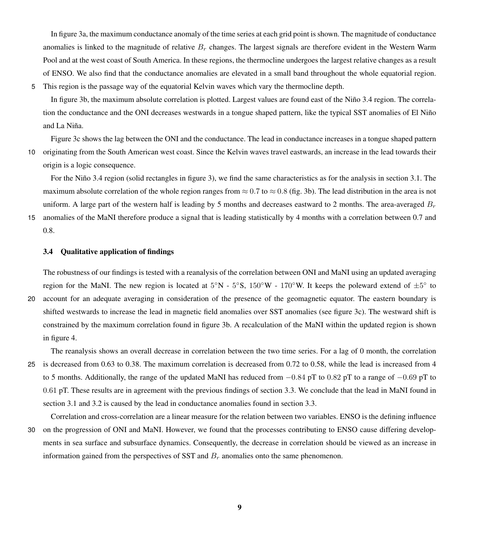In figure [3a,](#page-16-0) the maximum conductance anomaly of the time series at each grid point is shown. The magnitude of conductance anomalies is linked to the magnitude of relative  $B_r$  changes. The largest signals are therefore evident in the Western Warm Pool and at the west coast of South America. In these regions, the thermocline undergoes the largest relative changes as a result of ENSO. We also find that the conductance anomalies are elevated in a small band throughout the whole equatorial region. 5 This region is the passage way of the equatorial Kelvin waves which vary the thermocline depth.

In figure [3b,](#page-16-0) the maximum absolute correlation is plotted. Largest values are found east of the Niño 3.4 region. The correlation the conductance and the ONI decreases westwards in a tongue shaped pattern, like the typical SST anomalies of El Niño and La Niña.

Figure [3c](#page-16-0) shows the lag between the ONI and the conductance. The lead in conductance increases in a tongue shaped pattern

10 originating from the South American west coast. Since the Kelvin waves travel eastwards, an increase in the lead towards their origin is a logic consequence.

For the Niño 3.4 region (solid rectangles in figure [3\)](#page-16-0), we find the same characteristics as for the analysis in section [3.1.](#page-5-0) The maximum absolute correlation of the whole region ranges from  $\approx 0.7$  to  $\approx 0.8$  (fig. [3b\)](#page-16-0). The lead distribution in the area is not uniform. A large part of the western half is leading by 5 months and decreases eastward to 2 months. The area-averaged  $B_r$ 

15 anomalies of the MaNI therefore produce a signal that is leading statistically by 4 months with a correlation between 0.7 and 0.8.

#### 3.4 Qualitative application of findings

The robustness of our findings is tested with a reanalysis of the correlation between ONI and MaNI using an updated averaging region for the MaNI. The new region is located at  $5^\circ N$  -  $5^\circ S$ ,  $150^\circ W$  -  $170^\circ W$ . It keeps the poleward extend of  $\pm 5^\circ$  to

20 account for an adequate averaging in consideration of the presence of the geomagnetic equator. The eastern boundary is shifted westwards to increase the lead in magnetic field anomalies over SST anomalies (see figure [3c\)](#page-16-0). The westward shift is constrained by the maximum correlation found in figure [3b.](#page-16-0) A recalculation of the MaNI within the updated region is shown in figure [4.](#page-17-0)

The reanalysis shows an overall decrease in correlation between the two time series. For a lag of 0 month, the correlation

25 is decreased from 0.63 to 0.38. The maximum correlation is decreased from 0.72 to 0.58, while the lead is increased from 4 to 5 months. Additionally, the range of the updated MaNI has reduced from  $-0.84$  pT to 0.82 pT to a range of  $-0.69$  pT to 0.61 pT. These results are in agreement with the previous findings of section [3.3.](#page-7-0) We conclude that the lead in MaNI found in section [3.1](#page-5-0) and [3.2](#page-6-0) is caused by the lead in conductance anomalies found in section [3.3.](#page-7-0)

Correlation and cross-correlation are a linear measure for the relation between two variables. ENSO is the defining influence 30 on the progression of ONI and MaNI. However, we found that the processes contributing to ENSO cause differing developments in sea surface and subsurface dynamics. Consequently, the decrease in correlation should be viewed as an increase in information gained from the perspectives of SST and  $B<sub>r</sub>$  anomalies onto the same phenomenon.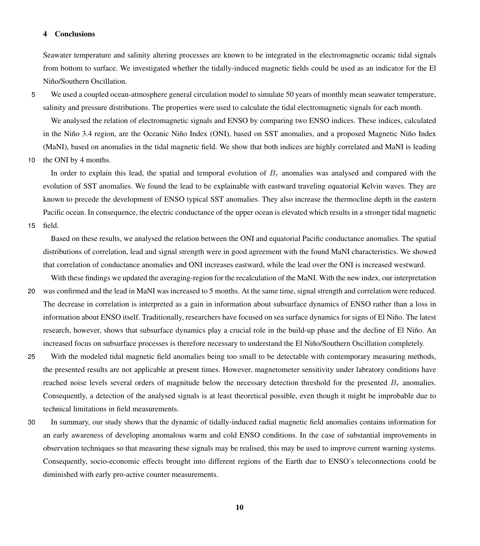#### 4 Conclusions

Seawater temperature and salinity altering processes are known to be integrated in the electromagnetic oceanic tidal signals from bottom to surface. We investigated whether the tidally-induced magnetic fields could be used as an indicator for the El Niño/Southern Oscillation.

5 We used a coupled ocean-atmosphere general circulation model to simulate 50 years of monthly mean seawater temperature, salinity and pressure distributions. The properties were used to calculate the tidal electromagnetic signals for each month.

We analysed the relation of electromagnetic signals and ENSO by comparing two ENSO indices. These indices, calculated in the Niño 3.4 region, are the Oceanic Niño Index (ONI), based on SST anomalies, and a proposed Magnetic Niño Index (MaNI), based on anomalies in the tidal magnetic field. We show that both indices are highly correlated and MaNI is leading

10 the ONI by 4 months.

In order to explain this lead, the spatial and temporal evolution of  $B_r$  anomalies was analysed and compared with the evolution of SST anomalies. We found the lead to be explainable with eastward traveling equatorial Kelvin waves. They are known to precede the development of ENSO typical SST anomalies. They also increase the thermocline depth in the eastern Pacific ocean. In consequence, the electric conductance of the upper ocean is elevated which results in a stronger tidal magnetic 15 field.

Based on these results, we analysed the relation between the ONI and equatorial Pacific conductance anomalies. The spatial distributions of correlation, lead and signal strength were in good agreement with the found MaNI characteristics. We showed that correlation of conductance anomalies and ONI increases eastward, while the lead over the ONI is increased westward.

- With these findings we updated the averaging-region for the recalculation of the MaNI. With the new index, our interpretation 20 was confirmed and the lead in MaNI was increased to 5 months. At the same time, signal strength and correlation were reduced. The decrease in correlation is interpreted as a gain in information about subsurface dynamics of ENSO rather than a loss in information about ENSO itself. Traditionally, researchers have focused on sea surface dynamics for signs of El Niño. The latest research, however, shows that subsurface dynamics play a crucial role in the build-up phase and the decline of El Niño. An increased focus on subsurface processes is therefore necessary to understand the El Niño/Southern Oscillation completely.
- 25 With the modeled tidal magnetic field anomalies being too small to be detectable with contemporary measuring methods, the presented results are not applicable at present times. However, magnetometer sensitivity under labratory conditions have reached noise levels several orders of magnitude below the necessary detection threshold for the presented  $B_r$  anomalies. Consequently, a detection of the analysed signals is at least theoretical possible, even though it might be improbable due to technical limitations in field measurements.
- 30 In summary, our study shows that the dynamic of tidally-induced radial magnetic field anomalies contains information for an early awareness of developing anomalous warm and cold ENSO conditions. In the case of substantial improvements in observation techniques so that measuring these signals may be realised, this may be used to improve current warning systems. Consequently, socio-economic effects brought into different regions of the Earth due to ENSO's teleconnections could be diminished with early pro-active counter measurements.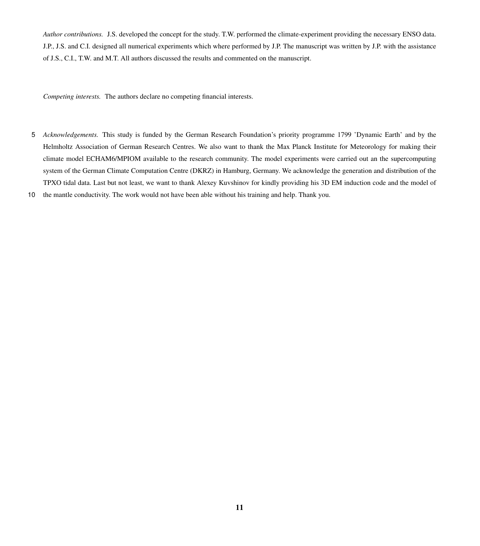*Author contributions.* J.S. developed the concept for the study. T.W. performed the climate-experiment providing the necessary ENSO data. J.P., J.S. and C.I. designed all numerical experiments which where performed by J.P. The manuscript was written by J.P. with the assistance of J.S., C.I., T.W. and M.T. All authors discussed the results and commented on the manuscript.

*Competing interests.* The authors declare no competing financial interests.

5 *Acknowledgements.* This study is funded by the German Research Foundation's priority programme 1799 'Dynamic Earth' and by the Helmholtz Association of German Research Centres. We also want to thank the Max Planck Institute for Meteorology for making their climate model ECHAM6/MPIOM available to the research community. The model experiments were carried out an the supercomputing system of the German Climate Computation Centre (DKRZ) in Hamburg, Germany. We acknowledge the generation and distribution of the TPXO tidal data. Last but not least, we want to thank Alexey Kuvshinov for kindly providing his 3D EM induction code and the model of

## 10 the mantle conductivity. The work would not have been able without his training and help. Thank you.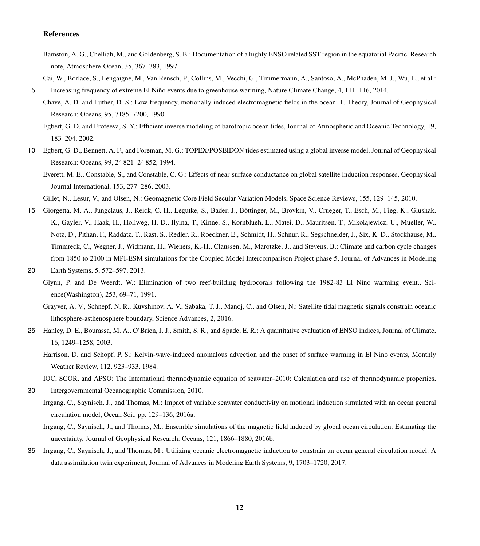## References

- <span id="page-11-15"></span>Bamston, A. G., Chelliah, M., and Goldenberg, S. B.: Documentation of a highly ENSO related SST region in the equatorial Pacific: Research note, Atmosphere-Ocean, 35, 367–383, 1997.
- <span id="page-11-1"></span>Cai, W., Borlace, S., Lengaigne, M., Van Rensch, P., Collins, M., Vecchi, G., Timmermann, A., Santoso, A., McPhaden, M. J., Wu, L., et al.:
- <span id="page-11-12"></span>5 Increasing frequency of extreme El Niño events due to greenhouse warming, Nature Climate Change, 4, 111–116, 2014.
- <span id="page-11-8"></span>Chave, A. D. and Luther, D. S.: Low-frequency, motionally induced electromagnetic fields in the ocean: 1. Theory, Journal of Geophysical Research: Oceans, 95, 7185–7200, 1990.
	- Egbert, G. D. and Erofeeva, S. Y.: Efficient inverse modeling of barotropic ocean tides, Journal of Atmospheric and Oceanic Technology, 19, 183–204, 2002.
- <span id="page-11-11"></span><span id="page-11-7"></span>10 Egbert, G. D., Bennett, A. F., and Foreman, M. G.: TOPEX/POSEIDON tides estimated using a global inverse model, Journal of Geophysical Research: Oceans, 99, 24 821–24 852, 1994.
	- Everett, M. E., Constable, S., and Constable, C. G.: Effects of near-surface conductance on global satellite induction responses, Geophysical Journal International, 153, 277–286, 2003.
	- Gillet, N., Lesur, V., and Olsen, N.: Geomagnetic Core Field Secular Variation Models, Space Science Reviews, 155, 129–145, 2010.
- <span id="page-11-9"></span><span id="page-11-5"></span>15 Giorgetta, M. A., Jungclaus, J., Reick, C. H., Legutke, S., Bader, J., Böttinger, M., Brovkin, V., Crueger, T., Esch, M., Fieg, K., Glushak, K., Gayler, V., Haak, H., Hollweg, H.-D., Ilyina, T., Kinne, S., Kornblueh, L., Matei, D., Mauritsen, T., Mikolajewicz, U., Mueller, W., Notz, D., Pithan, F., Raddatz, T., Rast, S., Redler, R., Roeckner, E., Schmidt, H., Schnur, R., Segschneider, J., Six, K. D., Stockhause, M., Timmreck, C., Wegner, J., Widmann, H., Wieners, K.-H., Claussen, M., Marotzke, J., and Stevens, B.: Climate and carbon cycle changes from 1850 to 2100 in MPI-ESM simulations for the Coupled Model Intercomparison Project phase 5, Journal of Advances in Modeling
- <span id="page-11-10"></span><span id="page-11-0"></span>20 Earth Systems, 5, 572–597, 2013.
	- Glynn, P. and De Weerdt, W.: Elimination of two reef-building hydrocorals following the 1982-83 El Nino warming event., Science(Washington), 253, 69–71, 1991.
	- Grayver, A. V., Schnepf, N. R., Kuvshinov, A. V., Sabaka, T. J., Manoj, C., and Olsen, N.: Satellite tidal magnetic signals constrain oceanic lithosphere-asthenosphere boundary, Science Advances, 2, 2016.
- <span id="page-11-14"></span><span id="page-11-2"></span>25 Hanley, D. E., Bourassa, M. A., O'Brien, J. J., Smith, S. R., and Spade, E. R.: A quantitative evaluation of ENSO indices, Journal of Climate, 16, 1249–1258, 2003.
	- Harrison, D. and Schopf, P. S.: Kelvin-wave-induced anomalous advection and the onset of surface warming in El Nino events, Monthly Weather Review, 112, 923–933, 1984.
	- IOC, SCOR, and APSO: The International thermodynamic equation of seawater–2010: Calculation and use of thermodynamic properties,
- <span id="page-11-6"></span><span id="page-11-4"></span><span id="page-11-3"></span>30 Intergovernmental Oceanographic Commission, 2010.
	- Irrgang, C., Saynisch, J., and Thomas, M.: Impact of variable seawater conductivity on motional induction simulated with an ocean general circulation model, Ocean Sci., pp. 129–136, 2016a.
	- Irrgang, C., Saynisch, J., and Thomas, M.: Ensemble simulations of the magnetic field induced by global ocean circulation: Estimating the uncertainty, Journal of Geophysical Research: Oceans, 121, 1866–1880, 2016b.
- <span id="page-11-13"></span>35 Irrgang, C., Saynisch, J., and Thomas, M.: Utilizing oceanic electromagnetic induction to constrain an ocean general circulation model: A data assimilation twin experiment, Journal of Advances in Modeling Earth Systems, 9, 1703–1720, 2017.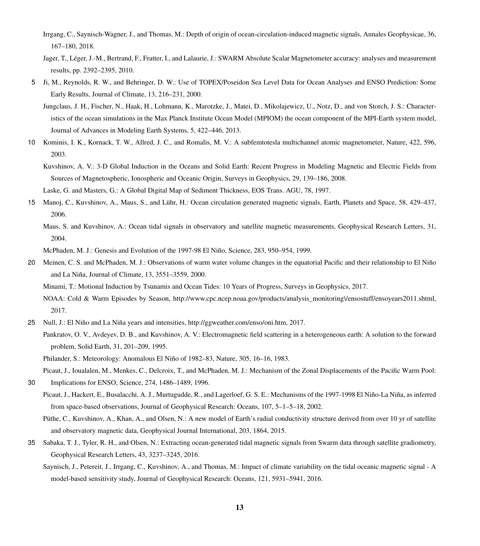- <span id="page-12-15"></span>Irrgang, C., Saynisch-Wagner, J., and Thomas, M.: Depth of origin of ocean-circulation-induced magnetic signals, Annales Geophysicae, 36, 167–180, 2018.
- <span id="page-12-18"></span>Jager, T., Léger, J.-M., Bertrand, F., Fratter, I., and Lalaurie, J.: SWARM Absolute Scalar Magnetometer accuracy: analyses and measurement results, pp. 2392–2395, 2010.
- <span id="page-12-10"></span><span id="page-12-2"></span>5 Ji, M., Reynolds, R. W., and Behringer, D. W.: Use of TOPEX/Poseidon Sea Level Data for Ocean Analyses and ENSO Prediction: Some Early Results, Journal of Climate, 13, 216–231, 2000.
	- Jungclaus, J. H., Fischer, N., Haak, H., Lohmann, K., Marotzke, J., Matei, D., Mikolajewicz, U., Notz, D., and von Storch, J. S.: Characteristics of the ocean simulations in the Max Planck Institute Ocean Model (MPIOM) the ocean component of the MPI-Earth system model, Journal of Advances in Modeling Earth Systems, 5, 422–446, 2013.
- <span id="page-12-19"></span><span id="page-12-11"></span>10 Kominis, I. K., Kornack, T. W., Allred, J. C., and Romalis, M. V.: A subfemtotesla multichannel atomic magnetometer, Nature, 422, 596, 2003.
	- Kuvshinov, A. V.: 3-D Global Induction in the Oceans and Solid Earth: Recent Progress in Modeling Magnetic and Electric Fields from Sources of Magnetospheric, Ionospheric and Oceanic Origin, Surveys in Geophysics, 29, 139–186, 2008. Laske, G. and Masters, G.: A Global Digital Map of Sediment Thickness, EOS Trans. AGU, 78, 1997.
- <span id="page-12-14"></span><span id="page-12-8"></span><span id="page-12-7"></span>15 Manoj, C., Kuvshinov, A., Maus, S., and Lühr, H.: Ocean circulation generated magnetic signals, Earth, Planets and Space, 58, 429–437, 2006.
	- Maus, S. and Kuvshinov, A.: Ocean tidal signals in observatory and satellite magnetic measurements, Geophysical Research Letters, 31, 2004.

<span id="page-12-20"></span>McPhaden, M. J.: Genesis and Evolution of the 1997-98 El Niño, Science, 283, 950–954, 1999.

<span id="page-12-5"></span><span id="page-12-1"></span>20 Meinen, C. S. and McPhaden, M. J.: Observations of warm water volume changes in the equatorial Pacific and their relationship to El Niño and La Niña, Journal of Climate, 13, 3551–3559, 2000.

<span id="page-12-16"></span>Minami, T.: Motional Induction by Tsunamis and Ocean Tides: 10 Years of Progress, Surveys in Geophysics, 2017.

- NOAA: Cold & Warm Episodes by Season, [http://www.cpc.ncep.noaa.gov/products/analysis\\_monitoring\/ensostuff/ensoyears2011.shtml,](http://www.cpc.ncep.noaa.gov/products/analysis_monitoring\/ensostuff/ensoyears2011.shtml) 2017.
- <span id="page-12-17"></span><span id="page-12-12"></span>25 Null, J.: El Niño and La Niña years and intensities, [http://ggweather.com/enso/oni.htm,](http://ggweather.com/enso/oni.htm) 2017. Pankratov, O. V., Avdeyev, D. B., and Kuvshinov, A. V.: Electromagnetic field scattering in a heterogeneous earth: A solution to the forward problem, Solid Earth, 31, 201–209, 1995.

<span id="page-12-0"></span>Philander, S.: Meteorology: Anomalous El Niño of 1982–83, Nature, 305, 16–16, 1983.

Picaut, J., Ioualalen, M., Menkes, C., Delcroix, T., and McPhaden, M. J.: Mechanism of the Zonal Displacements of the Pacific Warm Pool:

- <span id="page-12-4"></span><span id="page-12-3"></span>30 Implications for ENSO, Science, 274, 1486–1489, 1996.
	- Picaut, J., Hackert, E., Busalacchi, A. J., Murtugudde, R., and Lagerloef, G. S. E.: Mechanisms of the 1997-1998 El Niño-La Niña, as inferred from space-based observations, Journal of Geophysical Research: Oceans, 107, 5–1–5–18, 2002.

<span id="page-12-13"></span>Püthe, C., Kuvshinov, A., Khan, A., and Olsen, N.: A new model of Earth's radial conductivity structure derived from over 10 yr of satellite and observatory magnetic data, Geophysical Journal International, 203, 1864, 2015.

- <span id="page-12-9"></span><span id="page-12-6"></span>35 Sabaka, T. J., Tyler, R. H., and Olsen, N.: Extracting ocean-generated tidal magnetic signals from Swarm data through satellite gradiometry, Geophysical Research Letters, 43, 3237–3245, 2016.
	- Saynisch, J., Petereit, J., Irrgang, C., Kuvshinov, A., and Thomas, M.: Impact of climate variability on the tidal oceanic magnetic signal A model-based sensitivity study, Journal of Geophysical Research: Oceans, 121, 5931–5941, 2016.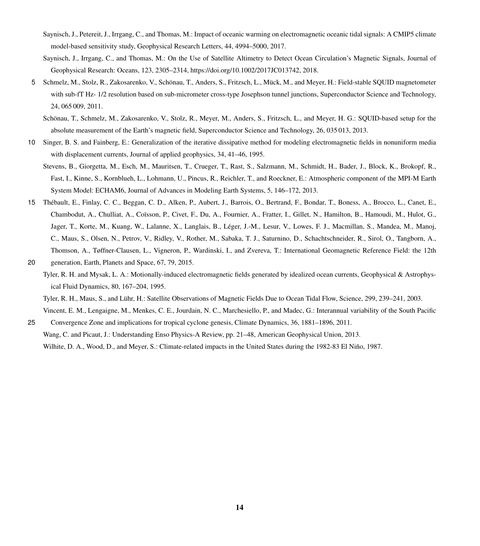- <span id="page-13-4"></span>Saynisch, J., Petereit, J., Irrgang, C., and Thomas, M.: Impact of oceanic warming on electromagnetic oceanic tidal signals: A CMIP5 climate model-based sensitivity study, Geophysical Research Letters, 44, 4994–5000, 2017.
- <span id="page-13-8"></span>Saynisch, J., Irrgang, C., and Thomas, M.: On the Use of Satellite Altimetry to Detect Ocean Circulation's Magnetic Signals, Journal of Geophysical Research: Oceans, 123, 2305–2314, https://doi.org[/10.1002/2017JC013742,](https://doi.org/10.1002/2017JC013742) 2018.
- <span id="page-13-10"></span><span id="page-13-9"></span>5 Schmelz, M., Stolz, R., Zakosarenko, V., Schönau, T., Anders, S., Fritzsch, L., Mück, M., and Meyer, H.: Field-stable SQUID magnetometer with sub-fT Hz- 1/2 resolution based on sub-micrometer cross-type Josephson tunnel junctions, Superconductor Science and Technology, 24, 065 009, 2011.
	- Schönau, T., Schmelz, M., Zakosarenko, V., Stolz, R., Meyer, M., Anders, S., Fritzsch, L., and Meyer, H. G.: SQUID-based setup for the absolute measurement of the Earth's magnetic field, Superconductor Science and Technology, 26, 035 013, 2013.
- <span id="page-13-7"></span><span id="page-13-5"></span>10 Singer, B. S. and Fainberg, E.: Generalization of the iterative dissipative method for modeling electromagnetic fields in nonuniform media with displacement currents, Journal of applied geophysics, 34, 41–46, 1995.
	- Stevens, B., Giorgetta, M., Esch, M., Mauritsen, T., Crueger, T., Rast, S., Salzmann, M., Schmidt, H., Bader, J., Block, K., Brokopf, R., Fast, I., Kinne, S., Kornblueh, L., Lohmann, U., Pincus, R., Reichler, T., and Roeckner, E.: Atmospheric component of the MPI-M Earth System Model: ECHAM6, Journal of Advances in Modeling Earth Systems, 5, 146–172, 2013.
- <span id="page-13-6"></span>15 Thébault, E., Finlay, C. C., Beggan, C. D., Alken, P., Aubert, J., Barrois, O., Bertrand, F., Bondar, T., Boness, A., Brocco, L., Canet, E., Chambodut, A., Chulliat, A., Coïsson, P., Civet, F., Du, A., Fournier, A., Fratter, I., Gillet, N., Hamilton, B., Hamoudi, M., Hulot, G., Jager, T., Korte, M., Kuang, W., Lalanne, X., Langlais, B., Léger, J.-M., Lesur, V., Lowes, F. J., Macmillan, S., Mandea, M., Manoj, C., Maus, S., Olsen, N., Petrov, V., Ridley, V., Rother, M., Sabaka, T. J., Saturnino, D., Schachtschneider, R., Sirol, O., Tangborn, A., Thomson, A., Tøffner-Clausen, L., Vigneron, P., Wardinski, I., and Zvereva, T.: International Geomagnetic Reference Field: the 12th
- <span id="page-13-2"></span>20 generation, Earth, Planets and Space, 67, 79, 2015.
	- Tyler, R. H. and Mysak, L. A.: Motionally-induced electromagnetic fields generated by idealized ocean currents, Geophysical & Astrophysical Fluid Dynamics, 80, 167–204, 1995.

Tyler, R. H., Maus, S., and Lühr, H.: Satellite Observations of Magnetic Fields Due to Ocean Tidal Flow, Science, 299, 239–241, 2003.

<span id="page-13-3"></span><span id="page-13-0"></span>Vincent, E. M., Lengaigne, M., Menkes, C. E., Jourdain, N. C., Marchesiello, P., and Madec, G.: Interannual variability of the South Pacific 25 Convergence Zone and implications for tropical cyclone genesis, Climate Dynamics, 36, 1881–1896, 2011.

<span id="page-13-11"></span><span id="page-13-1"></span>Wang, C. and Picaut, J.: Understanding Enso Physics-A Review, pp. 21–48, American Geophysical Union, 2013.

Wilhite, D. A., Wood, D., and Meyer, S.: Climate-related impacts in the United States during the 1982-83 El Niño, 1987.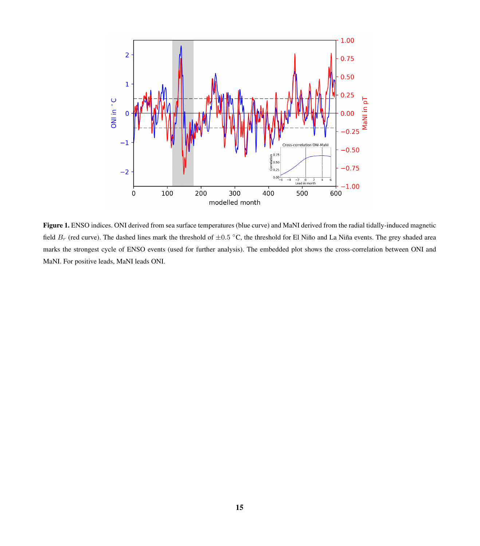<span id="page-14-0"></span>

Figure 1. ENSO indices. ONI derived from sea surface temperatures (blue curve) and MaNI derived from the radial tidally-induced magnetic field  $B_r$  (red curve). The dashed lines mark the threshold of  $\pm 0.5$  °C, the threshold for El Niño and La Niña events. The grey shaded area marks the strongest cycle of ENSO events (used for further analysis). The embedded plot shows the cross-correlation between ONI and MaNI. For positive leads, MaNI leads ONI.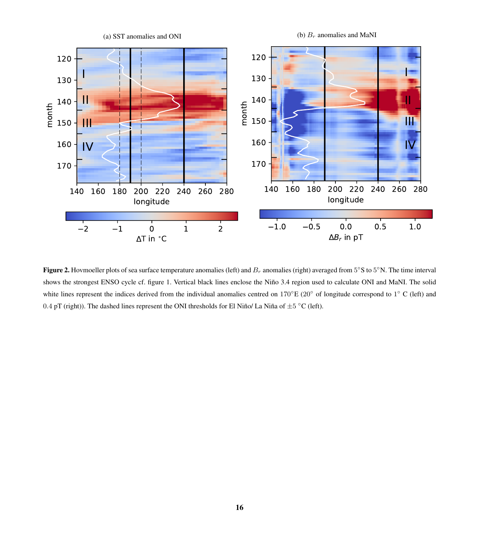<span id="page-15-0"></span>

**Figure 2.** Hovmoeller plots of sea surface temperature anomalies (left) and  $B_r$  anomalies (right) averaged from  $5^{\circ}$ S to  $5^{\circ}$ N. The time interval shows the strongest ENSO cycle cf. figure [1.](#page-14-0) Vertical black lines enclose the Niño 3.4 region used to calculate ONI and MaNI. The solid white lines represent the indices derived from the individual anomalies centred on  $170^{\circ}E$  ( $20^{\circ}$  of longitude correspond to  $1^{\circ}$  C (left) and 0.4 pT (right)). The dashed lines represent the ONI thresholds for El Niño/ La Niña of  $\pm 5$  °C (left).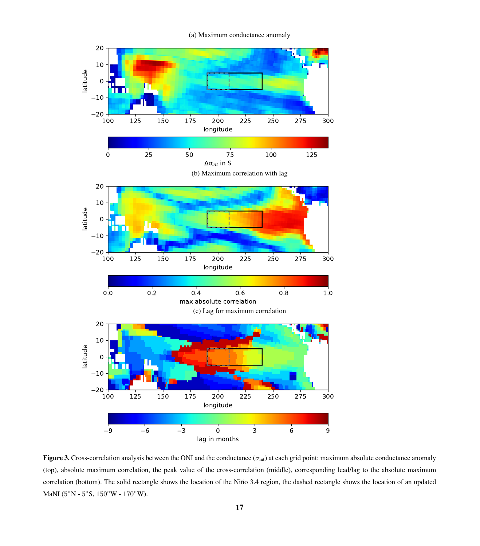(a) Maximum conductance anomaly

<span id="page-16-0"></span>

Figure 3. Cross-correlation analysis between the ONI and the conductance ( $\sigma_{int}$ ) at each grid point: maximum absolute conductance anomaly (top), absolute maximum correlation, the peak value of the cross-correlation (middle), corresponding lead/lag to the absolute maximum correlation (bottom). The solid rectangle shows the location of the Niño 3.4 region, the dashed rectangle shows the location of an updated MaNI ( $5^{\circ}$ N -  $5^{\circ}$ S,  $150^{\circ}$ W -  $170^{\circ}$ W).